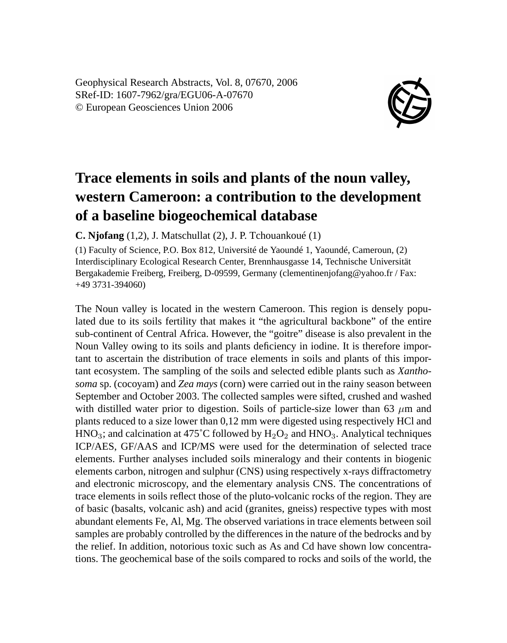Geophysical Research Abstracts, Vol. 8, 07670, 2006 SRef-ID: 1607-7962/gra/EGU06-A-07670 © European Geosciences Union 2006



## **Trace elements in soils and plants of the noun valley, western Cameroon: a contribution to the development of a baseline biogeochemical database**

**C. Njofang** (1,2), J. Matschullat (2), J. P. Tchouankoué (1)

(1) Faculty of Science, P.O. Box 812, Université de Yaoundé 1, Yaoundé, Cameroun, (2) Interdisciplinary Ecological Research Center, Brennhausgasse 14, Technische Universität Bergakademie Freiberg, Freiberg, D-09599, Germany (clementinenjofang@yahoo.fr / Fax: +49 3731-394060)

The Noun valley is located in the western Cameroon. This region is densely populated due to its soils fertility that makes it "the agricultural backbone" of the entire sub-continent of Central Africa. However, the "goitre" disease is also prevalent in the Noun Valley owing to its soils and plants deficiency in iodine. It is therefore important to ascertain the distribution of trace elements in soils and plants of this important ecosystem. The sampling of the soils and selected edible plants such as *Xanthosoma* sp. (cocoyam) and *Zea mays* (corn) were carried out in the rainy season between September and October 2003. The collected samples were sifted, crushed and washed with distilled water prior to digestion. Soils of particle-size lower than 63  $\mu$ m and plants reduced to a size lower than 0,12 mm were digested using respectively HCl and  $HNO<sub>3</sub>$ ; and calcination at 475°C followed by  $H<sub>2</sub>O<sub>2</sub>$  and  $HNO<sub>3</sub>$ . Analytical techniques ICP/AES, GF/AAS and ICP/MS were used for the determination of selected trace elements. Further analyses included soils mineralogy and their contents in biogenic elements carbon, nitrogen and sulphur (CNS) using respectively x-rays diffractometry and electronic microscopy, and the elementary analysis CNS. The concentrations of trace elements in soils reflect those of the pluto-volcanic rocks of the region. They are of basic (basalts, volcanic ash) and acid (granites, gneiss) respective types with most abundant elements Fe, Al, Mg. The observed variations in trace elements between soil samples are probably controlled by the differences in the nature of the bedrocks and by the relief. In addition, notorious toxic such as As and Cd have shown low concentrations. The geochemical base of the soils compared to rocks and soils of the world, the